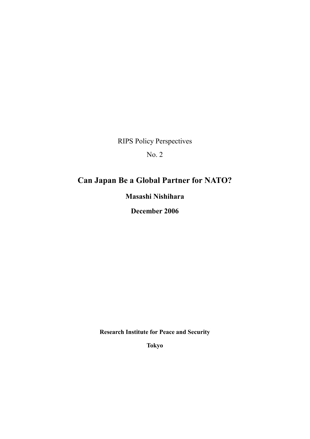RIPS Policy Perspectives

No. 2

# Can Japan Be a Global Partner for NATO?

Masashi Nishihara

December 2006

Research Institute for Peace and Security

Tokyo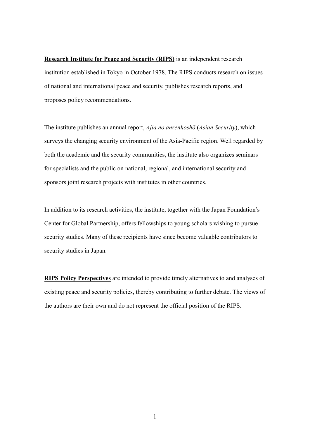Research Institute for Peace and Security (RIPS) is an independent research institution established in Tokyo in October 1978. The RIPS conducts research on issues of national and international peace and security, publishes research reports, and proposes policy recommendations.

The institute publishes an annual report, *Ajia no anzenhoshō* (*Asian Security*), which surveys the changing security environment of the Asia-Pacific region. Well regarded by both the academic and the security communities, the institute also organizes seminars for specialists and the public on national, regional, and international security and sponsors joint research projects with institutes in other countries.

In addition to its research activities, the institute, together with the Japan Foundation's Center for Global Partnership, offers fellowships to young scholars wishing to pursue security studies. Many of these recipients have since become valuable contributors to security studies in Japan.

RIPS Policy Perspectives are intended to provide timely alternatives to and analyses of existing peace and security policies, thereby contributing to further debate. The views of the authors are their own and do not represent the official position of the RIPS.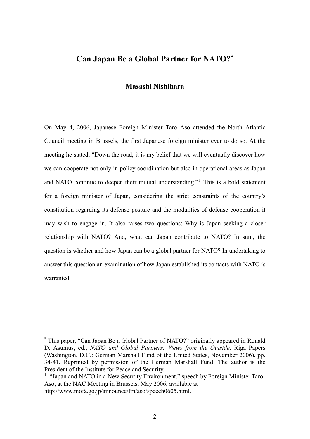# Can Japan Be a Global Partner for NATO?\*

## Masashi Nishihara

On May 4, 2006, Japanese Foreign Minister Taro Aso attended the North Atlantic Council meeting in Brussels, the first Japanese foreign minister ever to do so. At the meeting he stated, "Down the road, it is my belief that we will eventually discover how we can cooperate not only in policy coordination but also in operational areas as Japan and NATO continue to deepen their mutual understanding."1 This is a bold statement for a foreign minister of Japan, considering the strict constraints of the country's constitution regarding its defense posture and the modalities of defense cooperation it may wish to engage in. It also raises two questions: Why is Japan seeking a closer relationship with NATO? And, what can Japan contribute to NATO? In sum, the question is whether and how Japan can be a global partner for NATO? In undertaking to answer this question an examination of how Japan established its contacts with NATO is warranted.

 <sup>\*</sup> This paper, "Can Japan Be a Global Partner of NATO?" originally appeared in Ronald D. Asumus, ed., *NATO and Global Partners: Views from the Outside*. Riga Papers (Washington, D.C.: German Marshall Fund of the United States, November 2006), pp. 34-41. Reprinted by permission of the German Marshall Fund. The author is the President of the Institute for Peace and Security.

<sup>&</sup>lt;sup>1</sup> "Japan and NATO in a New Security Environment," speech by Foreign Minister Taro Aso, at the NAC Meeting in Brussels, May 2006, available at http://www.mofa.go.jp/announce/fm/aso/speech0605.html.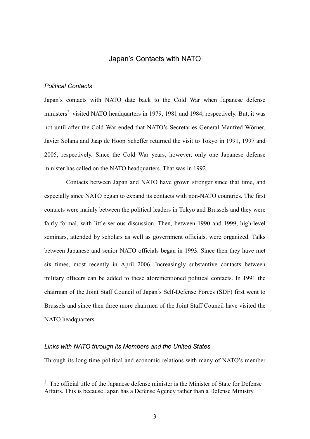## Japan's Contacts with NATO

#### *Political Contacts*

Japan's contacts with NATO date back to the Cold War when Japanese defense ministers<sup>2</sup> visited NATO headquarters in 1979, 1981 and 1984, respectively. But, it was not until after the Cold War ended that NATO's Secretaries General Manfred Wörner, Javier Solana and Jaap de Hoop Scheffer returned the visit to Tokyo in 1991, 1997 and 2005, respectively. Since the Cold War years, however, only one Japanese defense minister has called on the NATO headquarters. That was in 1992.

Contacts between Japan and NATO have grown stronger since that time, and especially since NATO began to expand its contacts with non-NATO countries. The first contacts were mainly between the political leaders in Tokyo and Brussels and they were fairly formal, with little serious discussion. Then, between 1990 and 1999, high-level seminars, attended by scholars as well as government officials, were organized. Talks between Japanese and senior NATO officials began in 1993. Since then they have met six times, most recently in April 2006. Increasingly substantive contacts between military officers can be added to these aforementioned political contacts. In 1991 the chairman of the Joint Staff Council of Japan's Self-Defense Forces (SDF) first went to Brussels and since then three more chairmen of the Joint Staff Council have visited the NATO headquarters.

#### *Links with NATO through its Members and the United States*

Through its long time political and economic relations with many of NATO's member

 $2\degree$  The official title of the Japanese defense minister is the Minister of State for Defense Affairs. This is because Japan has a Defense Agency rather than a Defense Ministry.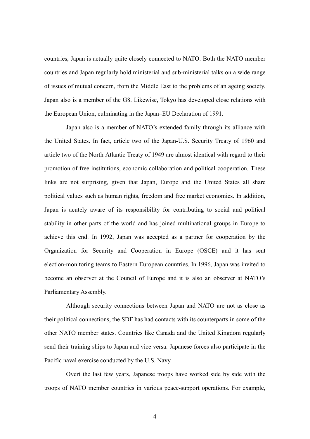countries, Japan is actually quite closely connected to NATO. Both the NATO member countries and Japan regularly hold ministerial and sub-ministerial talks on a wide range of issues of mutual concern, from the Middle East to the problems of an ageing society. Japan also is a member of the G8. Likewise, Tokyo has developed close relations with the European Union, culminating in the Japan–EU Declaration of 1991.

Japan also is a member of NATO's extended family through its alliance with the United States. In fact, article two of the Japan-U.S. Security Treaty of 1960 and article two of the North Atlantic Treaty of 1949 are almost identical with regard to their promotion of free institutions, economic collaboration and political cooperation. These links are not surprising, given that Japan, Europe and the United States all share political values such as human rights, freedom and free market economics. In addition, Japan is acutely aware of its responsibility for contributing to social and political stability in other parts of the world and has joined multinational groups in Europe to achieve this end. In 1992, Japan was accepted as a partner for cooperation by the Organization for Security and Cooperation in Europe (OSCE) and it has sent election-monitoring teams to Eastern European countries. In 1996, Japan was invited to become an observer at the Council of Europe and it is also an observer at NATO's Parliamentary Assembly.

Although security connections between Japan and NATO are not as close as their political connections, the SDF has had contacts with its counterparts in some of the other NATO member states. Countries like Canada and the United Kingdom regularly send their training ships to Japan and vice versa. Japanese forces also participate in the Pacific naval exercise conducted by the U.S. Navy.

Overt the last few years, Japanese troops have worked side by side with the troops of NATO member countries in various peace-support operations. For example,

4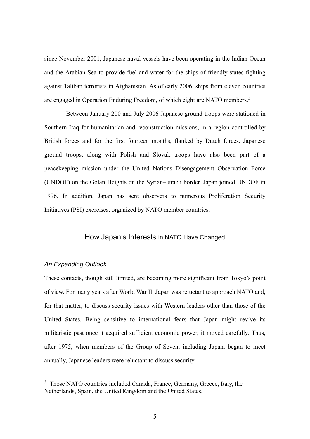since November 2001, Japanese naval vessels have been operating in the Indian Ocean and the Arabian Sea to provide fuel and water for the ships of friendly states fighting against Taliban terrorists in Afghanistan. As of early 2006, ships from eleven countries are engaged in Operation Enduring Freedom, of which eight are NATO members.<sup>3</sup>

Between January 200 and July 2006 Japanese ground troops were stationed in Southern Iraq for humanitarian and reconstruction missions, in a region controlled by British forces and for the first fourteen months, flanked by Dutch forces. Japanese ground troops, along with Polish and Slovak troops have also been part of a peacekeeping mission under the United Nations Disengagement Observation Force (UNDOF) on the Golan Heights on the Syrian–Israeli border. Japan joined UNDOF in 1996. In addition, Japan has sent observers to numerous Proliferation Security Initiatives (PSI) exercises, organized by NATO member countries.

# How Japan's Interests in NATO Have Changed

#### *An Expanding Outlook*

These contacts, though still limited, are becoming more significant from Tokyo's point of view. For many years after World War II, Japan was reluctant to approach NATO and, for that matter, to discuss security issues with Western leaders other than those of the United States. Being sensitive to international fears that Japan might revive its militaristic past once it acquired sufficient economic power, it moved carefully. Thus, after 1975, when members of the Group of Seven, including Japan, began to meet annually, Japanese leaders were reluctant to discuss security.

<sup>&</sup>lt;sup>3</sup> Those NATO countries included Canada, France, Germany, Greece, Italy, the Netherlands, Spain, the United Kingdom and the United States.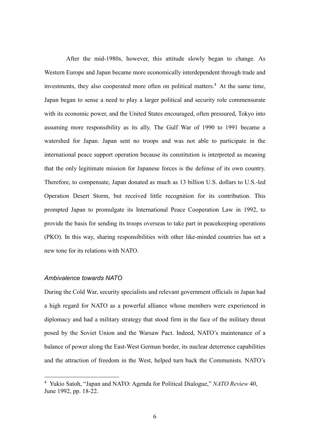After the mid-1980s, however, this attitude slowly began to change. As Western Europe and Japan became more economically interdependent through trade and investments, they also cooperated more often on political matters.<sup>4</sup> At the same time, Japan began to sense a need to play a larger political and security role commensurate with its economic power, and the United States encouraged, often pressured, Tokyo into assuming more responsibility as its ally. The Gulf War of 1990 to 1991 became a watershed for Japan. Japan sent no troops and was not able to participate in the international peace support operation because its constitution is interpreted as meaning that the only legitimate mission for Japanese forces is the defense of its own country. Therefore, to compensate, Japan donated as much as 13 billion U.S. dollars to U.S.-led Operation Desert Storm, but received little recognition for its contribution. This prompted Japan to promulgate its International Peace Cooperation Law in 1992, to provide the basis for sending its troops overseas to take part in peacekeeping operations (PKO). In this way, sharing responsibilities with other like-minded countries has set a new tone for its relations with NATO.

#### *Ambivalence towards NATO*

During the Cold War, security specialists and relevant government officials in Japan had a high regard for NATO as a powerful alliance whose members were experienced in diplomacy and had a military strategy that stood firm in the face of the military threat posed by the Soviet Union and the Warsaw Pact. Indeed, NATO's maintenance of a balance of power along the East-West German border, its nuclear deterrence capabilities and the attraction of freedom in the West, helped turn back the Communists. NATO's

 <sup>4</sup> Yukio Satoh, "Japan and NATO: Agenda for Political Dialogue," *NATO Review* 40, June 1992, pp. 18-22.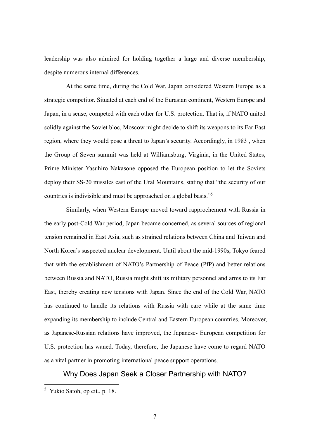leadership was also admired for holding together a large and diverse membership, despite numerous internal differences.

At the same time, during the Cold War, Japan considered Western Europe as a strategic competitor. Situated at each end of the Eurasian continent, Western Europe and Japan, in a sense, competed with each other for U.S. protection. That is, if NATO united solidly against the Soviet bloc, Moscow might decide to shift its weapons to its Far East region, where they would pose a threat to Japan's security. Accordingly, in 1983 , when the Group of Seven summit was held at Williamsburg, Virginia, in the United States, Prime Minister Yasuhiro Nakasone opposed the European position to let the Soviets deploy their SS-20 missiles east of the Ural Mountains, stating that "the security of our countries is indivisible and must be approached on a global basis."<sup>5</sup>

Similarly, when Western Europe moved toward rapprochement with Russia in the early post-Cold War period, Japan became concerned, as several sources of regional tension remained in East Asia, such as strained relations between China and Taiwan and North Korea's suspected nuclear development. Until about the mid-1990s, Tokyo feared that with the establishment of NATO's Partnership of Peace (PfP) and better relations between Russia and NATO, Russia might shift its military personnel and arms to its Far East, thereby creating new tensions with Japan. Since the end of the Cold War, NATO has continued to handle its relations with Russia with care while at the same time expanding its membership to include Central and Eastern European countries. Moreover, as Japanese-Russian relations have improved, the Japanese- European competition for U.S. protection has waned. Today, therefore, the Japanese have come to regard NATO as a vital partner in promoting international peace support operations.

# Why Does Japan Seek a Closer Partnership with NATO?

 <sup>5</sup> Yukio Satoh, op cit., p. 18.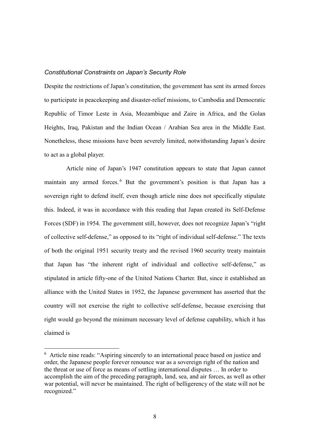#### *Constitutional Constraints on Japan's Security Role*

Despite the restrictions of Japan's constitution, the government has sent its armed forces to participate in peacekeeping and disaster-relief missions, to Cambodia and Democratic Republic of Timor Leste in Asia, Mozambique and Zaire in Africa, and the Golan Heights, Iraq, Pakistan and the Indian Ocean / Arabian Sea area in the Middle East. Nonetheless, these missions have been severely limited, notwithstanding Japan's desire to act as a global player.

Article nine of Japan's 1947 constitution appears to state that Japan cannot maintain any armed forces.<sup>6</sup> But the government's position is that Japan has a sovereign right to defend itself, even though article nine does not specifically stipulate this. Indeed, it was in accordance with this reading that Japan created its Self-Defense Forces (SDF) in 1954. The government still, however, does not recognize Japan's "right of collective self-defense," as opposed to its "right of individual self-defense." The texts of both the original 1951 security treaty and the revised 1960 security treaty maintain that Japan has "the inherent right of individual and collective self-defense," as stipulated in article fifty-one of the United Nations Charter. But, since it established an alliance with the United States in 1952, the Japanese government has asserted that the country will not exercise the right to collective self-defense, because exercising that right would go beyond the minimum necessary level of defense capability, which it has claimed is

 <sup>6</sup> Article nine reads: "Aspiring sincerely to an international peace based on justice and order, the Japanese people forever renounce war as a sovereign right of the nation and the threat or use of force as means of settling international disputes … In order to accomplish the aim of the preceding paragraph, land, sea, and air forces, as well as other war potential, will never be maintained. The right of belligerency of the state will not be recognized."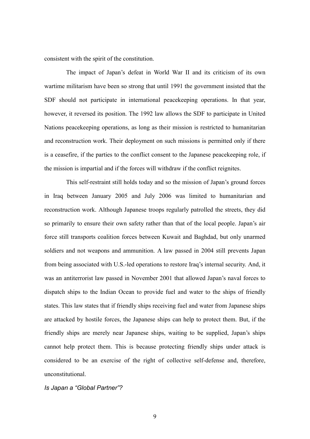consistent with the spirit of the constitution.

The impact of Japan's defeat in World War II and its criticism of its own wartime militarism have been so strong that until 1991 the government insisted that the SDF should not participate in international peacekeeping operations. In that year, however, it reversed its position. The 1992 law allows the SDF to participate in United Nations peacekeeping operations, as long as their mission is restricted to humanitarian and reconstruction work. Their deployment on such missions is permitted only if there is a ceasefire, if the parties to the conflict consent to the Japanese peacekeeping role, if the mission is impartial and if the forces will withdraw if the conflict reignites.

This self-restraint still holds today and so the mission of Japan's ground forces in Iraq between January 2005 and July 2006 was limited to humanitarian and reconstruction work. Although Japanese troops regularly patrolled the streets, they did so primarily to ensure their own safety rather than that of the local people. Japan's air force still transports coalition forces between Kuwait and Baghdad, but only unarmed soldiers and not weapons and ammunition. A law passed in 2004 still prevents Japan from being associated with U.S.-led operations to restore Iraq's internal security. And, it was an antiterrorist law passed in November 2001 that allowed Japan's naval forces to dispatch ships to the Indian Ocean to provide fuel and water to the ships of friendly states. This law states that if friendly ships receiving fuel and water from Japanese ships are attacked by hostile forces, the Japanese ships can help to protect them. But, if the friendly ships are merely near Japanese ships, waiting to be supplied, Japan's ships cannot help protect them. This is because protecting friendly ships under attack is considered to be an exercise of the right of collective self-defense and, therefore, unconstitutional.

*Is Japan a "Global Partner"?*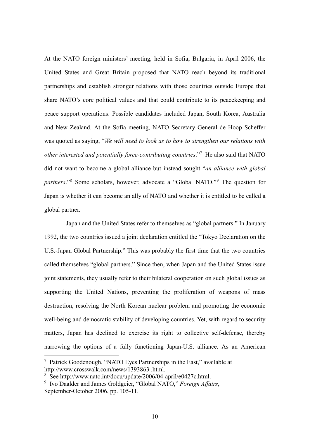At the NATO foreign ministers' meeting, held in Sofia, Bulgaria, in April 2006, the United States and Great Britain proposed that NATO reach beyond its traditional partnerships and establish stronger relations with those countries outside Europe that share NATO's core political values and that could contribute to its peacekeeping and peace support operations. Possible candidates included Japan, South Korea, Australia and New Zealand. At the Sofia meeting, NATO Secretary General de Hoop Scheffer was quoted as saying, "*We will need to look as to how to strengthen our relations with other interested and potentially force-contributing countries*."<sup>7</sup> He also said that NATO did not want to become a global alliance but instead sought "*an alliance with global partners*."<sup>8</sup> Some scholars, however, advocate a "Global NATO."<sup>9</sup> The question for Japan is whether it can become an ally of NATO and whether it is entitled to be called a global partner.

Japan and the United States refer to themselves as "global partners." In January 1992, the two countries issued a joint declaration entitled the "Tokyo Declaration on the U.S.-Japan Global Partnership." This was probably the first time that the two countries called themselves "global partners." Since then, when Japan and the United States issue joint statements, they usually refer to their bilateral cooperation on such global issues as supporting the United Nations, preventing the proliferation of weapons of mass destruction, resolving the North Korean nuclear problem and promoting the economic well-being and democratic stability of developing countries. Yet, with regard to security matters, Japan has declined to exercise its right to collective self-defense, thereby narrowing the options of a fully functioning Japan-U.S. alliance. As an American

 <sup>7</sup> Patrick Goodenough, "NATO Eyes Partnerships in the East," available at http://www.crosswalk.com/news/1393863 .html.

<sup>8</sup> See http://www.nato.int/docu/update/2006/04-april/e0427c.html.

<sup>9</sup> Ivo Daalder and James Goldgeier, "Global NATO," *Foreign Affairs*, September-October 2006, pp. 105-11.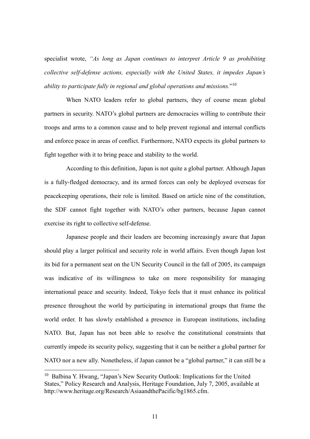specialist wrote, *"As long as Japan continues to interpret Article 9 as prohibiting collective self-defense actions, especially with the United States, it impedes Japan's ability to participate fully in regional and global operations and missions.*"10

When NATO leaders refer to global partners, they of course mean global partners in security. NATO's global partners are democracies willing to contribute their troops and arms to a common cause and to help prevent regional and internal conflicts and enforce peace in areas of conflict. Furthermore, NATO expects its global partners to fight together with it to bring peace and stability to the world.

According to this definition, Japan is not quite a global partner. Although Japan is a fully-fledged democracy, and its armed forces can only be deployed overseas for peacekeeping operations, their role is limited. Based on article nine of the constitution, the SDF cannot fight together with NATO's other partners, because Japan cannot exercise its right to collective self-defense.

Japanese people and their leaders are becoming increasingly aware that Japan should play a larger political and security role in world affairs. Even though Japan lost its bid for a permanent seat on the UN Security Council in the fall of 2005, its campaign was indicative of its willingness to take on more responsibility for managing international peace and security. Indeed, Tokyo feels that it must enhance its political presence throughout the world by participating in international groups that frame the world order. It has slowly established a presence in European institutions, including NATO. But, Japan has not been able to resolve the constitutional constraints that currently impede its security policy, suggesting that it can be neither a global partner for NATO nor a new ally. Nonetheless, if Japan cannot be a "global partner," it can still be a

 <sup>10</sup> Balbina Y. Hwang, "Japan's New Security Outlook: Implications for the United States," Policy Research and Analysis, Heritage Foundation, July 7, 2005, available at http://www.heritage.org/Research/AsiaandthePacific/bg1865.cfm.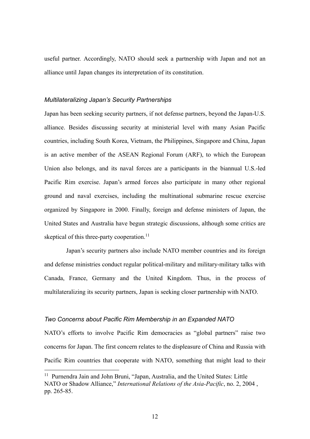useful partner. Accordingly, NATO should seek a partnership with Japan and not an alliance until Japan changes its interpretation of its constitution.

#### *Multilateralizing Japan's Security Partnerships*

Japan has been seeking security partners, if not defense partners, beyond the Japan-U.S. alliance. Besides discussing security at ministerial level with many Asian Pacific countries, including South Korea, Vietnam, the Philippines, Singapore and China, Japan is an active member of the ASEAN Regional Forum (ARF), to which the European Union also belongs, and its naval forces are a participants in the biannual U.S.-led Pacific Rim exercise. Japan's armed forces also participate in many other regional ground and naval exercises, including the multinational submarine rescue exercise organized by Singapore in 2000. Finally, foreign and defense ministers of Japan, the United States and Australia have begun strategic discussions, although some critics are skeptical of this three-party cooperation.<sup>11</sup>

Japan's security partners also include NATO member countries and its foreign and defense ministries conduct regular political-military and military-military talks with Canada, France, Germany and the United Kingdom. Thus, in the process of multilateralizing its security partners, Japan is seeking closer partnership with NATO.

#### *Two Concerns about Pacific Rim Membership in an Expanded NATO*

NATO's efforts to involve Pacific Rim democracies as "global partners" raise two concerns for Japan. The first concern relates to the displeasure of China and Russia with Pacific Rim countries that cooperate with NATO, something that might lead to their

<sup>&</sup>lt;sup>11</sup> Purnendra Jain and John Bruni, "Japan, Australia, and the United States: Little NATO or Shadow Alliance," *International Relations of the Asia-Pacific*, no. 2, 2004 , pp. 265-85.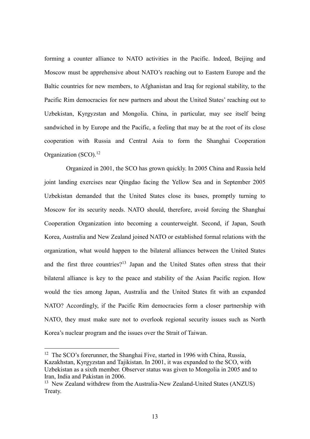forming a counter alliance to NATO activities in the Pacific. Indeed, Beijing and Moscow must be apprehensive about NATO's reaching out to Eastern Europe and the Baltic countries for new members, to Afghanistan and Iraq for regional stability, to the Pacific Rim democracies for new partners and about the United States' reaching out to Uzbekistan, Kyrgyzstan and Mongolia. China, in particular, may see itself being sandwiched in by Europe and the Pacific, a feeling that may be at the root of its close cooperation with Russia and Central Asia to form the Shanghai Cooperation Organization  $(SCO)^{12}$ 

Organized in 2001, the SCO has grown quickly. In 2005 China and Russia held joint landing exercises near Qingdao facing the Yellow Sea and in September 2005 Uzbekistan demanded that the United States close its bases, promptly turning to Moscow for its security needs. NATO should, therefore, avoid forcing the Shanghai Cooperation Organization into becoming a counterweight. Second, if Japan, South Korea, Australia and New Zealand joined NATO or established formal relations with the organization, what would happen to the bilateral alliances between the United States and the first three countries?<sup>13</sup> Japan and the United States often stress that their bilateral alliance is key to the peace and stability of the Asian Pacific region. How would the ties among Japan, Australia and the United States fit with an expanded NATO? Accordingly, if the Pacific Rim democracies form a closer partnership with NATO, they must make sure not to overlook regional security issues such as North Korea's nuclear program and the issues over the Strait of Taiwan.

<sup>&</sup>lt;sup>12</sup> The SCO's forerunner, the Shanghai Five, started in 1996 with China, Russia, Kazakhstan, Kyrgyzstan and Tajikistan. In 2001, it was expanded to the SCO, with Uzbekistan as a sixth member. Observer status was given to Mongolia in 2005 and to Iran, India and Pakistan in 2006.

<sup>&</sup>lt;sup>13</sup> New Zealand withdrew from the Australia-New Zealand-United States (ANZUS) Treaty.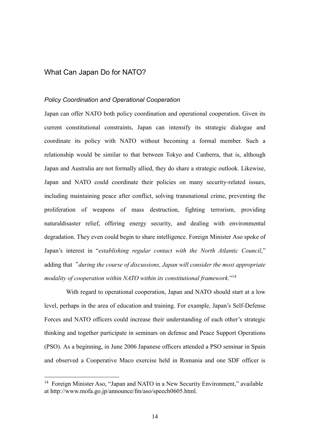# What Can Japan Do for NATO?

#### *Policy Coordination and Operational Cooperation*

Japan can offer NATO both policy coordination and operational cooperation. Given its current constitutional constraints, Japan can intensify its strategic dialogue and coordinate its policy with NATO without becoming a formal member. Such a relationship would be similar to that between Tokyo and Canberra, that is, although Japan and Australia are not formally allied, they do share a strategic outlook. Likewise, Japan and NATO could coordinate their policies on many security-related issues, including maintaining peace after conflict, solving transnational crime, preventing the proliferation of weapons of mass destruction, fighting terrorism, providing naturaldisaster relief, offering energy security, and dealing with environmental degradation. They even could begin to share intelligence. Foreign Minister Aso spoke of Japan's interest in "*establishing regular contact with the North Atlantic Council*," adding that "*during the course of discussions, Japan will consider the most appropriate modality of cooperation within NATO within its constitutional framework*."14

With regard to operational cooperation, Japan and NATO should start at a low level, perhaps in the area of education and training. For example, Japan's Self-Defense Forces and NATO officers could increase their understanding of each other's strategic thinking and together participate in seminars on defense and Peace Support Operations (PSO). As a beginning, in June 2006 Japanese officers attended a PSO seminar in Spain and observed a Cooperative Maco exercise held in Romania and one SDF officer is

<sup>&</sup>lt;sup>14</sup> Foreign Minister Aso, "Japan and NATO in a New Security Environment," available at http://www.mofa.go.jp/announce/fm/aso/speech0605.html.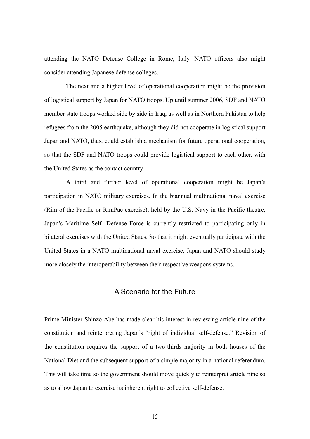attending the NATO Defense College in Rome, Italy. NATO officers also might consider attending Japanese defense colleges.

The next and a higher level of operational cooperation might be the provision of logistical support by Japan for NATO troops. Up until summer 2006, SDF and NATO member state troops worked side by side in Iraq, as well as in Northern Pakistan to help refugees from the 2005 earthquake, although they did not cooperate in logistical support. Japan and NATO, thus, could establish a mechanism for future operational cooperation, so that the SDF and NATO troops could provide logistical support to each other, with the United States as the contact country.

A third and further level of operational cooperation might be Japan's participation in NATO military exercises. In the biannual multinational naval exercise (Rim of the Pacific or RimPac exercise), held by the U.S. Navy in the Pacific theatre, Japan's Maritime Self- Defense Force is currently restricted to participating only in bilateral exercises with the United States. So that it might eventually participate with the United States in a NATO multinational naval exercise, Japan and NATO should study more closely the interoperability between their respective weapons systems.

# A Scenario for the Future

Prime Minister Shinzō Abe has made clear his interest in reviewing article nine of the constitution and reinterpreting Japan's "right of individual self-defense." Revision of the constitution requires the support of a two-thirds majority in both houses of the National Diet and the subsequent support of a simple majority in a national referendum. This will take time so the government should move quickly to reinterpret article nine so as to allow Japan to exercise its inherent right to collective self-defense.